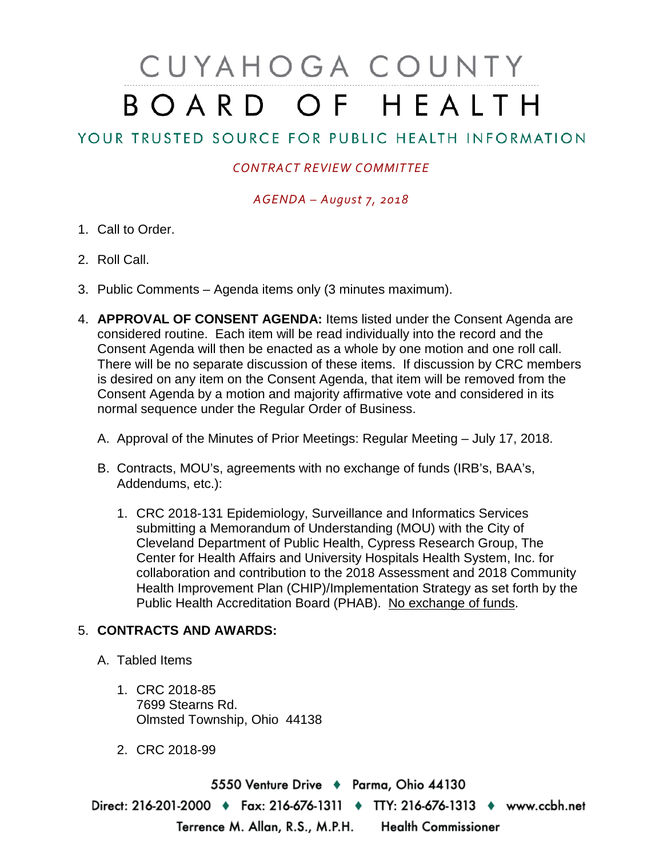# CUYAHOGA COUNTY BOARD OF HEALTH

## YOUR TRUSTED SOURCE FOR PUBLIC HEALTH INFORMATION

### *CONTRACT REVIEW COMMITTEE*

#### *AGENDA – August 7, 2018*

- 1. Call to Order.
- 2. Roll Call.
- 3. Public Comments Agenda items only (3 minutes maximum).
- 4. **APPROVAL OF CONSENT AGENDA:** Items listed under the Consent Agenda are considered routine. Each item will be read individually into the record and the Consent Agenda will then be enacted as a whole by one motion and one roll call. There will be no separate discussion of these items. If discussion by CRC members is desired on any item on the Consent Agenda, that item will be removed from the Consent Agenda by a motion and majority affirmative vote and considered in its normal sequence under the Regular Order of Business.
	- A. Approval of the Minutes of Prior Meetings: Regular Meeting July 17, 2018.
	- B. Contracts, MOU's, agreements with no exchange of funds (IRB's, BAA's, Addendums, etc.):
		- 1. CRC 2018-131 Epidemiology, Surveillance and Informatics Services submitting a Memorandum of Understanding (MOU) with the City of Cleveland Department of Public Health, Cypress Research Group, The Center for Health Affairs and University Hospitals Health System, Inc. for collaboration and contribution to the 2018 Assessment and 2018 Community Health Improvement Plan (CHIP)/Implementation Strategy as set forth by the Public Health Accreditation Board (PHAB). No exchange of funds.

#### 5. **CONTRACTS AND AWARDS:**

- A. Tabled Items
	- 1. CRC 2018-85 7699 Stearns Rd. Olmsted Township, Ohio 44138
	- 2. CRC 2018-99

5550 Venture Drive + Parma, Ohio 44130 Direct: 216-201-2000 • Fax: 216-676-1311 • TTY: 216-676-1313 • www.ccbh.net Terrence M. Allan, R.S., M.P.H. Health Commissioner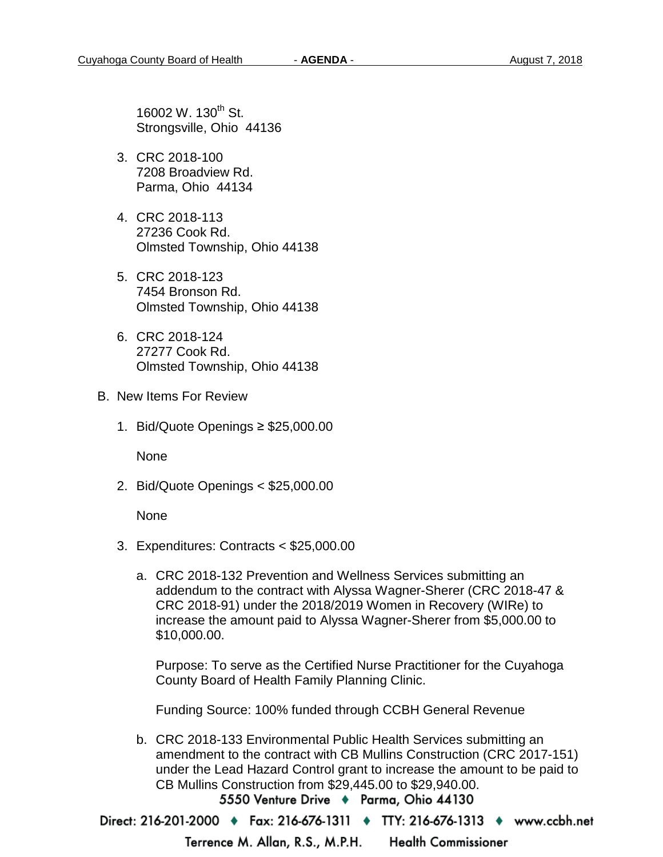16002 W. 130<sup>th</sup> St. Strongsville, Ohio 44136

- 3. CRC 2018-100 7208 Broadview Rd. Parma, Ohio 44134
- 4. CRC 2018-113 27236 Cook Rd. Olmsted Township, Ohio 44138
- 5. CRC 2018-123 7454 Bronson Rd. Olmsted Township, Ohio 44138
- 6. CRC 2018-124 27277 Cook Rd. Olmsted Township, Ohio 44138
- B. New Items For Review
	- 1. Bid/Quote Openings ≥ \$25,000.00

None

2. Bid/Quote Openings < \$25,000.00

None

- 3. Expenditures: Contracts < \$25,000.00
	- a. CRC 2018-132 Prevention and Wellness Services submitting an addendum to the contract with Alyssa Wagner-Sherer (CRC 2018-47 & CRC 2018-91) under the 2018/2019 Women in Recovery (WIRe) to increase the amount paid to Alyssa Wagner-Sherer from \$5,000.00 to \$10,000.00.

Purpose: To serve as the Certified Nurse Practitioner for the Cuyahoga County Board of Health Family Planning Clinic.

Funding Source: 100% funded through CCBH General Revenue

b. CRC 2018-133 Environmental Public Health Services submitting an amendment to the contract with CB Mullins Construction (CRC 2017-151) under the Lead Hazard Control grant to increase the amount to be paid to CB Mullins Construction from \$29,445.00 to \$29,940.00.<br>5550 Venture Drive ♦ Parma, Ohio 44130

Direct: 216-201-2000 ♦ Fax: 216-676-1311 ♦ TTY: 216-676-1313 ♦ www.ccbh.net

Terrence M. Allan, R.S., M.P.H. **Health Commissioner**